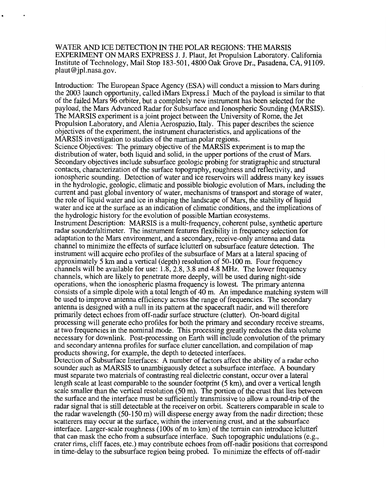WATER AND ICE DETECTION IN THE POLAR REGIONS: THE MARSIS EXPERIMENT ON MARS EXPRESS J. J. Plaut, Jet Propulsion Laboratory. California Institute of Technology, Mail Stop 183-501,4800 Oak Grove Dr., Pasadena, CA, 91109. [plaut@jpl.nasa.gov.](mailto:plaut@jpl.nasa.gov)

Introduction: The European Space Agency (ESA) will conduct a mission to Mars during the 2003 launch opportunity, called iMars Express.? Much of the payload is similar to that of the failed Mars 96 orbiter, but a completely new instrument has been selected for the payload, the Mars Advanced Radar for Subsurface and Ionospheric Sounding (MARSIS). The MARSIS experiment is a joint project between the University of Rome, the Jet Propulsion Laboratory, and Alenia Aerospazio, Italy. This paper describes the science objectives of the experiment, the instrument characteristics, and applications of the MARSIS investigation to studies of the martian polar regions.

Science Objectives: The primary objective of the MARSIS experiment is to map the distribution of water, both liquid and solid, in the upper portions of the crust of Mars. Secondary objectives include subsurface geologic probing for stratigraphic and structural contacts, characterization of the surface topography, roughness and reflectivity, and ionospheric sounding. Detection of water and ice reservoirs will address many key issues in the hydrologic, geologic, climatic and possible biologic evolution of Mars, including the current and past global inventory of water, mechanisms of transport and storage of water, the role of liquid water and ice in shaping the landscape of Mars, the stability of liquid water and ice at the surface as an indication of climatic conditions, and the implications of the hydrologic history for the evolution of possible Martian ecosystems. Instrument Description: MARSIS is a multi-frequency, coherent pulse, synthetic aperture radar sounder/altimeter. The instrument features flexibility in frequency selection for adaptation to the Mars environment, and a secondary, receive-only antenna and data channel to minimize the effects of surface iclutteri on subsurface feature detection. The instrument will acquire echo profiles of the subsurface of Mars at a lateral spacing of approximately 5 km and a vertical (depth) resolution of 50-100 m. Four frequency channels will be available for use: 1.8,2.8, 3.8 and 4.8 *MHz.* The lower frequency channels, which are likely to penetrate more deeply, will be used during night-side operations, when the ionospheric plasma frequency is lowest. The primary antenna consists of a simple dipole with a total length of 40 m. An impedance matching system will be used to improve antenna efficiency across the range of frequencies. The secondary antenna is designed with a null in its pattern at the spacecraft nadir, and will therefore primarily detect echoes from off-nadir surface structure (clutter). On-board digital processing will generate echo profiles for both the primary and secondary receive streams, at two frequencies in the nominal mode. This processing greatly reduces the data volume necessary for downlink. Post-processing on Earth will include convolution of the primary and secondary antenna profiles for surface clutter cancellation, and compilation of map products showing, for example, the depth to detected interfaces.

Detection of Subsurface Interfaces: **A** number of factors affect the ability of a radar echo sounder such as MARSIS to unambiguously detect a subsurface interface. A boundary must separate two materials of contrasting real dielectric constant, occur over a lateral length scale at least comparable to the sounder footprint (5 km), and over a vertical length scale smaller than the vertical resolution  $(50 \text{ m})$ . The portion of the crust that lies between the surface and the interface must be sufficiently transmissive to allow a round-trip of the radar signal that is still detectable at the receiver on orbit. Scatterers comparable in scale to the radar wavelength (50-150 m) will disperse energy away from the nadir direction; these scatterers may occur at the surface, within the intervening crust, and at the subsurface interface. Larger-scale roughness (100s of m to km) of the terrain can introduce iclutteri that can mask the echo from a subsurface interface. Such topographic undulations (e.g., crater rims, cliff faces, etc.) may contribute echoes from off-nadir positions that correspond in time-delay to the subsurface region being probed. To minimize the effects of off-nadir